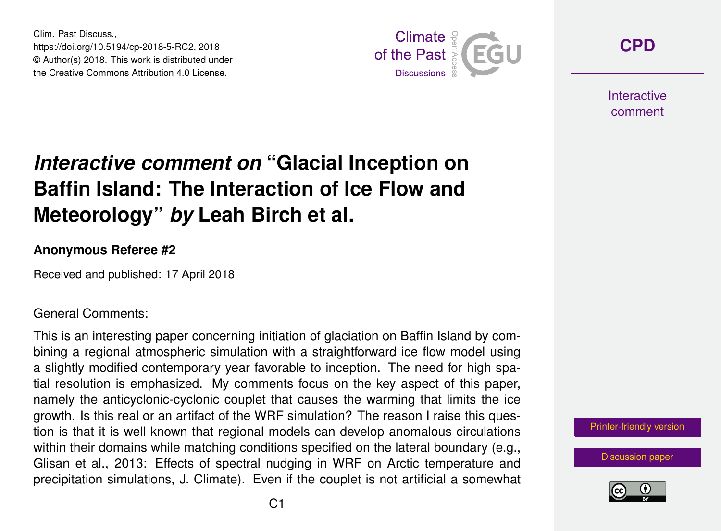Clim. Past Discuss., https://doi.org/10.5194/cp-2018-5-RC2, 2018 © Author(s) 2018. This work is distributed under the Creative Commons Attribution 4.0 License.



**[CPD](https://www.clim-past-discuss.net/)**

**Interactive** comment

## *Interactive comment on* **"Glacial Inception on Baffin Island: The Interaction of Ice Flow and Meteorology"** *by* **Leah Birch et al.**

## **Anonymous Referee #2**

Received and published: 17 April 2018

## General Comments:

This is an interesting paper concerning initiation of glaciation on Baffin Island by combining a regional atmospheric simulation with a straightforward ice flow model using a slightly modified contemporary year favorable to inception. The need for high spatial resolution is emphasized. My comments focus on the key aspect of this paper, namely the anticyclonic-cyclonic couplet that causes the warming that limits the ice growth. Is this real or an artifact of the WRF simulation? The reason I raise this question is that it is well known that regional models can develop anomalous circulations within their domains while matching conditions specified on the lateral boundary (e.g., Glisan et al., 2013: Effects of spectral nudging in WRF on Arctic temperature and precipitation simulations, J. Climate). Even if the couplet is not artificial a somewhat

[Printer-friendly version](https://www.clim-past-discuss.net/cp-2018-5/cp-2018-5-RC2-print.pdf)

[Discussion paper](https://www.clim-past-discuss.net/cp-2018-5)